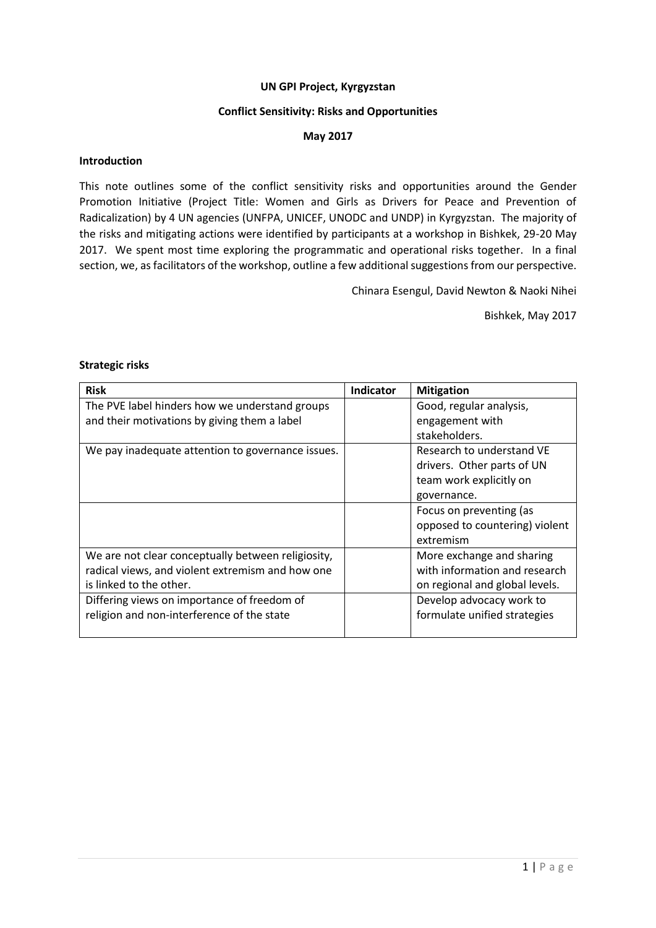#### **UN GPI Project, Kyrgyzstan**

#### **Conflict Sensitivity: Risks and Opportunities**

#### **May 2017**

#### **Introduction**

This note outlines some of the conflict sensitivity risks and opportunities around the Gender Promotion Initiative (Project Title: Women and Girls as Drivers for Peace and Prevention of Radicalization) by 4 UN agencies (UNFPA, UNICEF, UNODC and UNDP) in Kyrgyzstan. The majority of the risks and mitigating actions were identified by participants at a workshop in Bishkek, 29-20 May 2017. We spent most time exploring the programmatic and operational risks together. In a final section, we, as facilitators of the workshop, outline a few additional suggestions from our perspective.

Chinara Esengul, David Newton & Naoki Nihei

Bishkek, May 2017

#### **Strategic risks**

| <b>Risk</b>                                        | <b>Indicator</b> | <b>Mitigation</b>              |
|----------------------------------------------------|------------------|--------------------------------|
| The PVE label hinders how we understand groups     |                  | Good, regular analysis,        |
| and their motivations by giving them a label       |                  | engagement with                |
|                                                    |                  | stakeholders.                  |
| We pay inadequate attention to governance issues.  |                  | Research to understand VE      |
|                                                    |                  | drivers. Other parts of UN     |
|                                                    |                  | team work explicitly on        |
|                                                    |                  | governance.                    |
|                                                    |                  | Focus on preventing (as        |
|                                                    |                  | opposed to countering) violent |
|                                                    |                  | extremism                      |
| We are not clear conceptually between religiosity, |                  | More exchange and sharing      |
| radical views, and violent extremism and how one   |                  | with information and research  |
| is linked to the other.                            |                  | on regional and global levels. |
| Differing views on importance of freedom of        |                  | Develop advocacy work to       |
| religion and non-interference of the state         |                  | formulate unified strategies   |
|                                                    |                  |                                |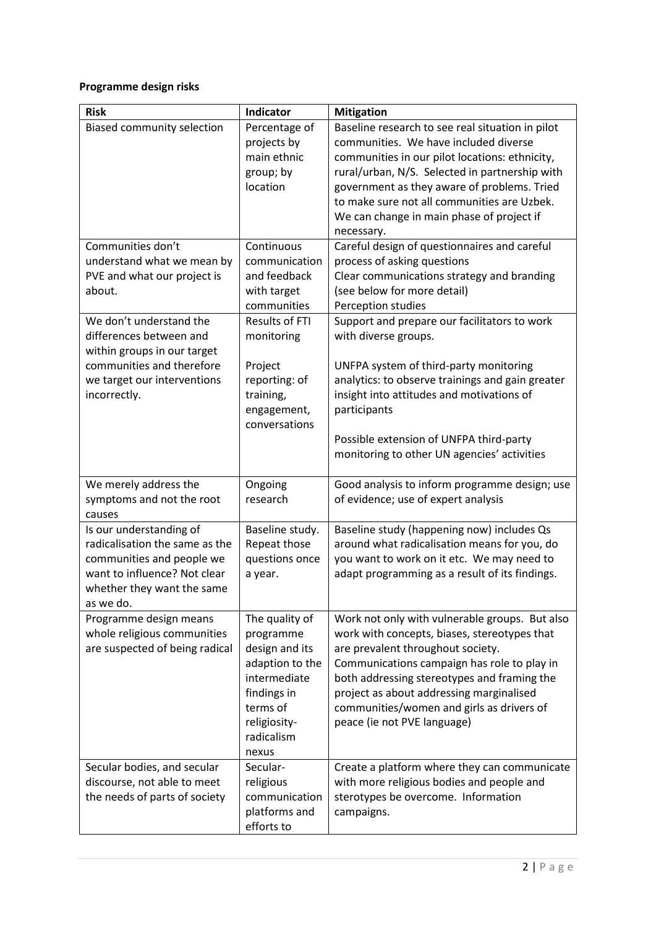# **Programme design risks**

| <b>Risk</b>                                                                                                                                                       | Indicator                                                                                                                                          | <b>Mitigation</b>                                                                                                                                                                                                                                                                                                                                         |
|-------------------------------------------------------------------------------------------------------------------------------------------------------------------|----------------------------------------------------------------------------------------------------------------------------------------------------|-----------------------------------------------------------------------------------------------------------------------------------------------------------------------------------------------------------------------------------------------------------------------------------------------------------------------------------------------------------|
| Biased community selection                                                                                                                                        | Percentage of<br>projects by<br>main ethnic<br>group; by<br>location                                                                               | Baseline research to see real situation in pilot<br>communities. We have included diverse<br>communities in our pilot locations: ethnicity,<br>rural/urban, N/S. Selected in partnership with<br>government as they aware of problems. Tried<br>to make sure not all communities are Uzbek.<br>We can change in main phase of project if<br>necessary.    |
| Communities don't<br>understand what we mean by<br>PVE and what our project is<br>about.                                                                          | Continuous<br>communication<br>and feedback<br>with target<br>communities                                                                          | Careful design of questionnaires and careful<br>process of asking questions<br>Clear communications strategy and branding<br>(see below for more detail)<br>Perception studies                                                                                                                                                                            |
| We don't understand the<br>differences between and<br>within groups in our target<br>communities and therefore<br>we target our interventions<br>incorrectly.     | <b>Results of FTI</b><br>monitoring<br>Project<br>reporting: of<br>training,<br>engagement,<br>conversations                                       | Support and prepare our facilitators to work<br>with diverse groups.<br>UNFPA system of third-party monitoring<br>analytics: to observe trainings and gain greater<br>insight into attitudes and motivations of<br>participants<br>Possible extension of UNFPA third-party<br>monitoring to other UN agencies' activities                                 |
| We merely address the<br>symptoms and not the root<br>causes                                                                                                      | Ongoing<br>research                                                                                                                                | Good analysis to inform programme design; use<br>of evidence; use of expert analysis                                                                                                                                                                                                                                                                      |
| Is our understanding of<br>radicalisation the same as the<br>communities and people we<br>want to influence? Not clear<br>whether they want the same<br>as we do. | Baseline study.<br>Repeat those<br>questions once<br>a year.                                                                                       | Baseline study (happening now) includes Qs<br>around what radicalisation means for you, do<br>you want to work on it etc. We may need to<br>adapt programming as a result of its findings.                                                                                                                                                                |
| Programme design means<br>whole religious communities<br>are suspected of being radical                                                                           | The quality of<br>programme<br>design and its<br>adaption to the<br>intermediate<br>findings in<br>terms of<br>religiosity-<br>radicalism<br>nexus | Work not only with vulnerable groups. But also<br>work with concepts, biases, stereotypes that<br>are prevalent throughout society.<br>Communications campaign has role to play in<br>both addressing stereotypes and framing the<br>project as about addressing marginalised<br>communities/women and girls as drivers of<br>peace (ie not PVE language) |
| Secular bodies, and secular<br>discourse, not able to meet<br>the needs of parts of society                                                                       | Secular-<br>religious<br>communication<br>platforms and<br>efforts to                                                                              | Create a platform where they can communicate<br>with more religious bodies and people and<br>sterotypes be overcome. Information<br>campaigns.                                                                                                                                                                                                            |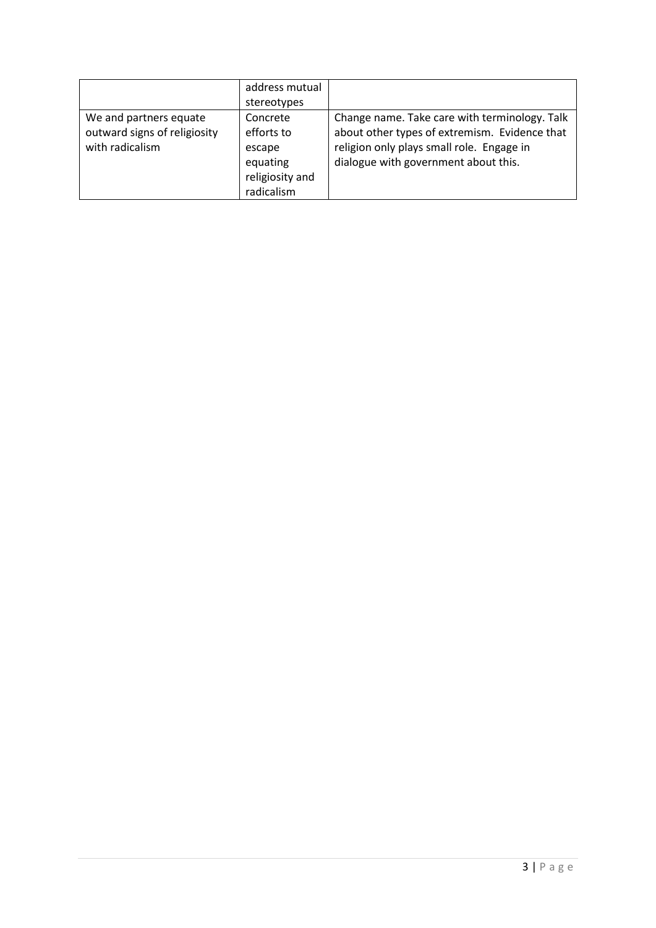|                              | address mutual  |                                               |
|------------------------------|-----------------|-----------------------------------------------|
|                              | stereotypes     |                                               |
| We and partners equate       | Concrete        | Change name. Take care with terminology. Talk |
| outward signs of religiosity | efforts to      | about other types of extremism. Evidence that |
| with radicalism              | escape          | religion only plays small role. Engage in     |
|                              | equating        | dialogue with government about this.          |
|                              | religiosity and |                                               |
|                              | radicalism      |                                               |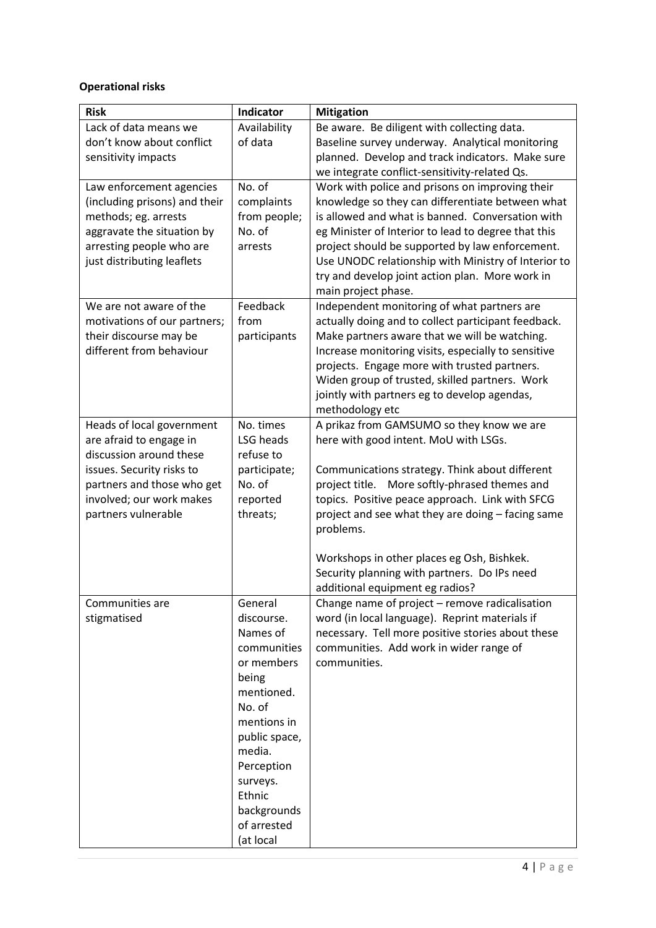# **Operational risks**

| <b>Risk</b>                                               | Indicator                  | <b>Mitigation</b>                                                                                   |
|-----------------------------------------------------------|----------------------------|-----------------------------------------------------------------------------------------------------|
| Lack of data means we                                     | Availability               | Be aware. Be diligent with collecting data.                                                         |
| don't know about conflict                                 | of data                    | Baseline survey underway. Analytical monitoring                                                     |
| sensitivity impacts                                       |                            | planned. Develop and track indicators. Make sure                                                    |
|                                                           | No. of                     | we integrate conflict-sensitivity-related Qs.                                                       |
| Law enforcement agencies<br>(including prisons) and their | complaints                 | Work with police and prisons on improving their<br>knowledge so they can differentiate between what |
| methods; eg. arrests                                      | from people;               | is allowed and what is banned. Conversation with                                                    |
| aggravate the situation by                                | No. of                     | eg Minister of Interior to lead to degree that this                                                 |
| arresting people who are                                  | arrests                    | project should be supported by law enforcement.                                                     |
| just distributing leaflets                                |                            | Use UNODC relationship with Ministry of Interior to                                                 |
|                                                           |                            | try and develop joint action plan. More work in                                                     |
|                                                           |                            | main project phase.                                                                                 |
| We are not aware of the                                   | Feedback                   | Independent monitoring of what partners are                                                         |
| motivations of our partners;                              | from                       | actually doing and to collect participant feedback.                                                 |
| their discourse may be                                    | participants               | Make partners aware that we will be watching.                                                       |
| different from behaviour                                  |                            | Increase monitoring visits, especially to sensitive                                                 |
|                                                           |                            | projects. Engage more with trusted partners.                                                        |
|                                                           |                            | Widen group of trusted, skilled partners. Work                                                      |
|                                                           |                            | jointly with partners eg to develop agendas,<br>methodology etc                                     |
| Heads of local government                                 | No. times                  | A prikaz from GAMSUMO so they know we are                                                           |
| are afraid to engage in                                   | LSG heads                  | here with good intent. MoU with LSGs.                                                               |
| discussion around these                                   | refuse to                  |                                                                                                     |
| issues. Security risks to                                 | participate;               | Communications strategy. Think about different                                                      |
| partners and those who get                                | No. of                     | More softly-phrased themes and<br>project title.                                                    |
| involved; our work makes                                  | reported                   | topics. Positive peace approach. Link with SFCG                                                     |
| partners vulnerable                                       | threats;                   | project and see what they are doing - facing same                                                   |
|                                                           |                            | problems.                                                                                           |
|                                                           |                            |                                                                                                     |
|                                                           |                            | Workshops in other places eg Osh, Bishkek.                                                          |
|                                                           |                            | Security planning with partners. Do IPs need                                                        |
| Communities are                                           | General                    | additional equipment eg radios?<br>Change name of project - remove radicalisation                   |
| stigmatised                                               | discourse.                 | word (in local language). Reprint materials if                                                      |
|                                                           | Names of                   | necessary. Tell more positive stories about these                                                   |
|                                                           | communities                | communities. Add work in wider range of                                                             |
|                                                           | or members                 | communities.                                                                                        |
|                                                           | being                      |                                                                                                     |
|                                                           | mentioned.                 |                                                                                                     |
|                                                           | No. of                     |                                                                                                     |
|                                                           | mentions in                |                                                                                                     |
|                                                           | public space,              |                                                                                                     |
|                                                           | media.                     |                                                                                                     |
|                                                           | Perception                 |                                                                                                     |
|                                                           | surveys.                   |                                                                                                     |
|                                                           | Ethnic                     |                                                                                                     |
|                                                           | backgrounds<br>of arrested |                                                                                                     |
|                                                           | (at local                  |                                                                                                     |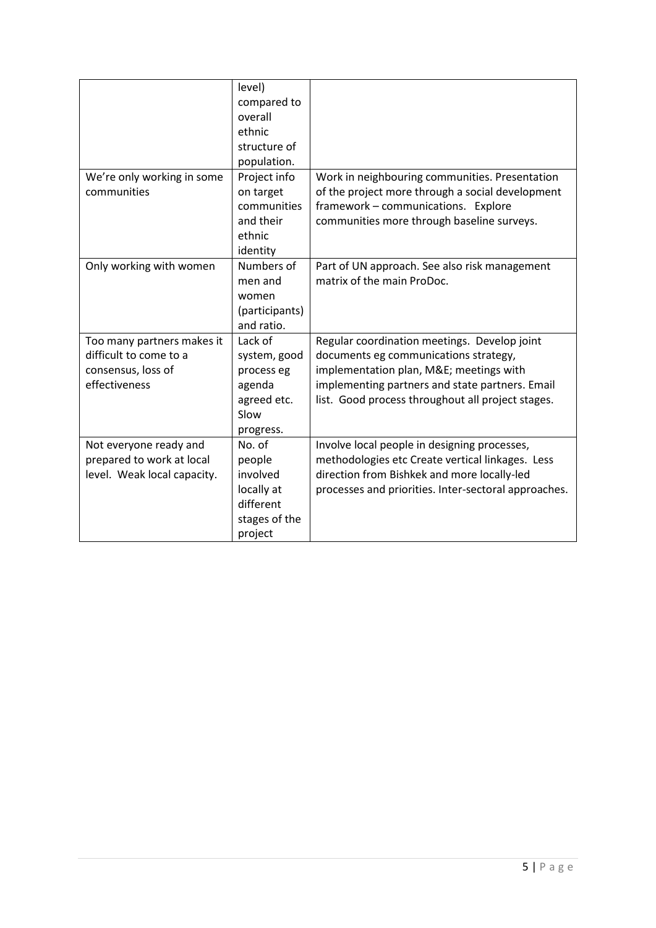|                                                                                             | level)<br>compared to<br>overall<br>ethnic<br>structure of<br>population.           |                                                                                                                                                                                                                                         |
|---------------------------------------------------------------------------------------------|-------------------------------------------------------------------------------------|-----------------------------------------------------------------------------------------------------------------------------------------------------------------------------------------------------------------------------------------|
| We're only working in some<br>communities                                                   | Project info<br>on target<br>communities<br>and their<br>ethnic<br>identity         | Work in neighbouring communities. Presentation<br>of the project more through a social development<br>framework - communications. Explore<br>communities more through baseline surveys.                                                 |
| Only working with women                                                                     | Numbers of<br>men and<br>women<br>(participants)<br>and ratio.                      | Part of UN approach. See also risk management<br>matrix of the main ProDoc.                                                                                                                                                             |
| Too many partners makes it<br>difficult to come to a<br>consensus, loss of<br>effectiveness | Lack of<br>system, good<br>process eg<br>agenda<br>agreed etc.<br>Slow<br>progress. | Regular coordination meetings. Develop joint<br>documents eg communications strategy,<br>implementation plan, M&E meetings with<br>implementing partners and state partners. Email<br>list. Good process throughout all project stages. |
| Not everyone ready and<br>prepared to work at local<br>level. Weak local capacity.          | No. of<br>people<br>involved<br>locally at<br>different<br>stages of the<br>project | Involve local people in designing processes,<br>methodologies etc Create vertical linkages. Less<br>direction from Bishkek and more locally-led<br>processes and priorities. Inter-sectoral approaches.                                 |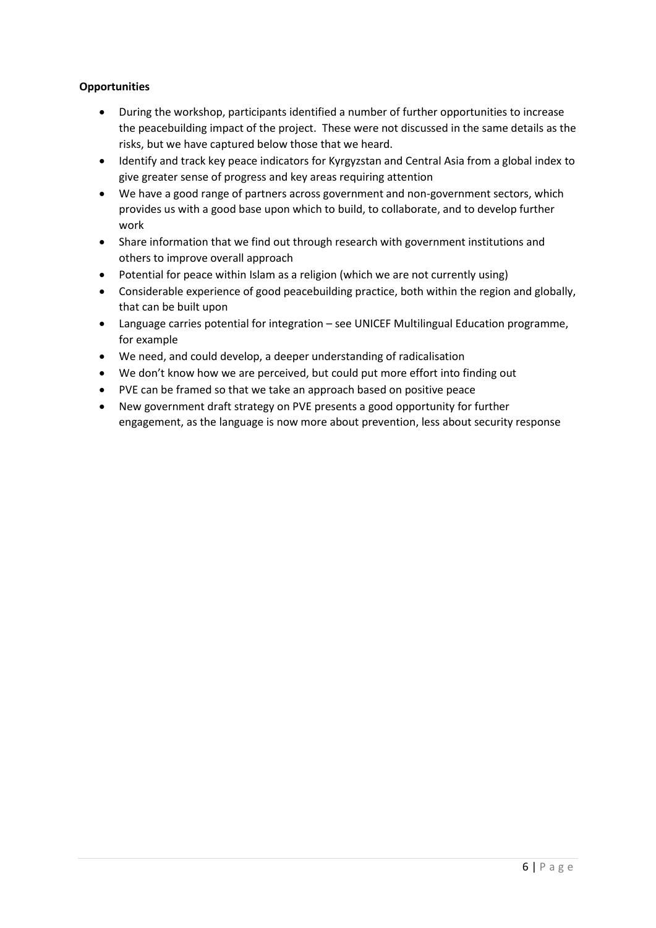## **Opportunities**

- During the workshop, participants identified a number of further opportunities to increase the peacebuilding impact of the project. These were not discussed in the same details as the risks, but we have captured below those that we heard.
- Identify and track key peace indicators for Kyrgyzstan and Central Asia from a global index to give greater sense of progress and key areas requiring attention
- We have a good range of partners across government and non-government sectors, which provides us with a good base upon which to build, to collaborate, and to develop further work
- Share information that we find out through research with government institutions and others to improve overall approach
- Potential for peace within Islam as a religion (which we are not currently using)
- Considerable experience of good peacebuilding practice, both within the region and globally, that can be built upon
- Language carries potential for integration see UNICEF Multilingual Education programme, for example
- We need, and could develop, a deeper understanding of radicalisation
- We don't know how we are perceived, but could put more effort into finding out
- PVE can be framed so that we take an approach based on positive peace
- New government draft strategy on PVE presents a good opportunity for further engagement, as the language is now more about prevention, less about security response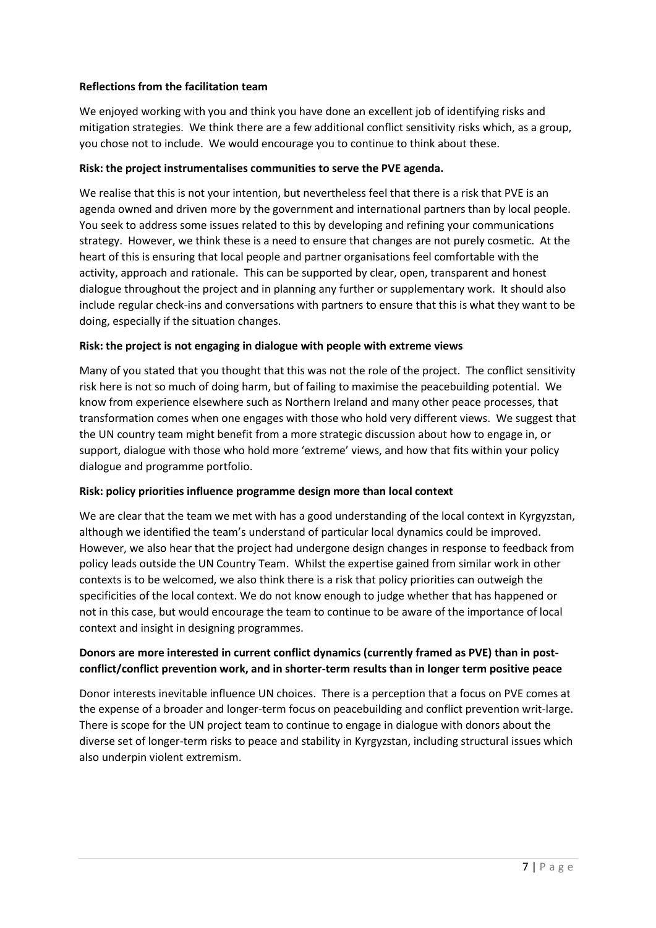## **Reflections from the facilitation team**

We enjoyed working with you and think you have done an excellent job of identifying risks and mitigation strategies. We think there are a few additional conflict sensitivity risks which, as a group, you chose not to include. We would encourage you to continue to think about these.

### **Risk: the project instrumentalises communities to serve the PVE agenda.**

We realise that this is not your intention, but nevertheless feel that there is a risk that PVE is an agenda owned and driven more by the government and international partners than by local people. You seek to address some issues related to this by developing and refining your communications strategy. However, we think these is a need to ensure that changes are not purely cosmetic. At the heart of this is ensuring that local people and partner organisations feel comfortable with the activity, approach and rationale. This can be supported by clear, open, transparent and honest dialogue throughout the project and in planning any further or supplementary work. It should also include regular check-ins and conversations with partners to ensure that this is what they want to be doing, especially if the situation changes.

## **Risk: the project is not engaging in dialogue with people with extreme views**

Many of you stated that you thought that this was not the role of the project. The conflict sensitivity risk here is not so much of doing harm, but of failing to maximise the peacebuilding potential. We know from experience elsewhere such as Northern Ireland and many other peace processes, that transformation comes when one engages with those who hold very different views. We suggest that the UN country team might benefit from a more strategic discussion about how to engage in, or support, dialogue with those who hold more 'extreme' views, and how that fits within your policy dialogue and programme portfolio.

#### **Risk: policy priorities influence programme design more than local context**

We are clear that the team we met with has a good understanding of the local context in Kyrgyzstan, although we identified the team's understand of particular local dynamics could be improved. However, we also hear that the project had undergone design changes in response to feedback from policy leads outside the UN Country Team. Whilst the expertise gained from similar work in other contexts is to be welcomed, we also think there is a risk that policy priorities can outweigh the specificities of the local context. We do not know enough to judge whether that has happened or not in this case, but would encourage the team to continue to be aware of the importance of local context and insight in designing programmes.

## **Donors are more interested in current conflict dynamics (currently framed as PVE) than in postconflict/conflict prevention work, and in shorter-term results than in longer term positive peace**

Donor interests inevitable influence UN choices. There is a perception that a focus on PVE comes at the expense of a broader and longer-term focus on peacebuilding and conflict prevention writ-large. There is scope for the UN project team to continue to engage in dialogue with donors about the diverse set of longer-term risks to peace and stability in Kyrgyzstan, including structural issues which also underpin violent extremism.